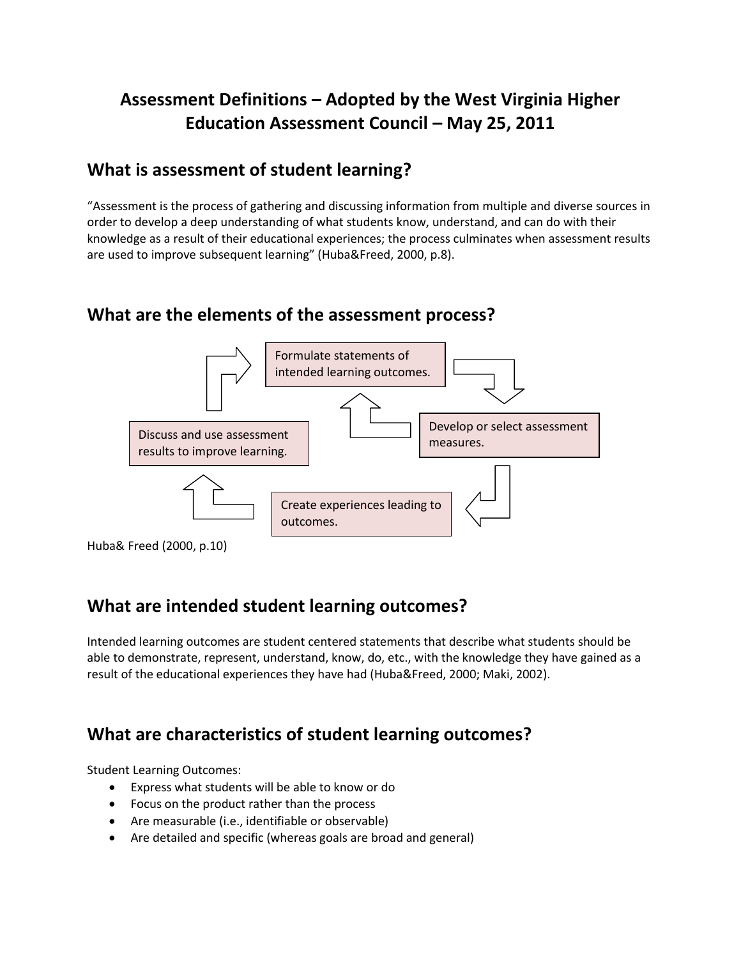# **Assessment Definitions – Adopted by the West Virginia Higher Education Assessment Council – May 25, 2011**

## **What is assessment of student learning?**

"Assessment is the process of gathering and discussing information from multiple and diverse sources in order to develop a deep understanding of what students know, understand, and can do with their knowledge as a result of their educational experiences; the process culminates when assessment results are used to improve subsequent learning" (Huba&Freed, 2000, p.8).

## **What are the elements of the assessment process?**



## **What are intended student learning outcomes?**

Intended learning outcomes are student centered statements that describe what students should be able to demonstrate, represent, understand, know, do, etc., with the knowledge they have gained as a result of the educational experiences they have had (Huba&Freed, 2000; Maki, 2002).

# **What are characteristics of student learning outcomes?**

Student Learning Outcomes:

- Express what students will be able to know or do
- Focus on the product rather than the process
- Are measurable (i.e., identifiable or observable)
- Are detailed and specific (whereas goals are broad and general)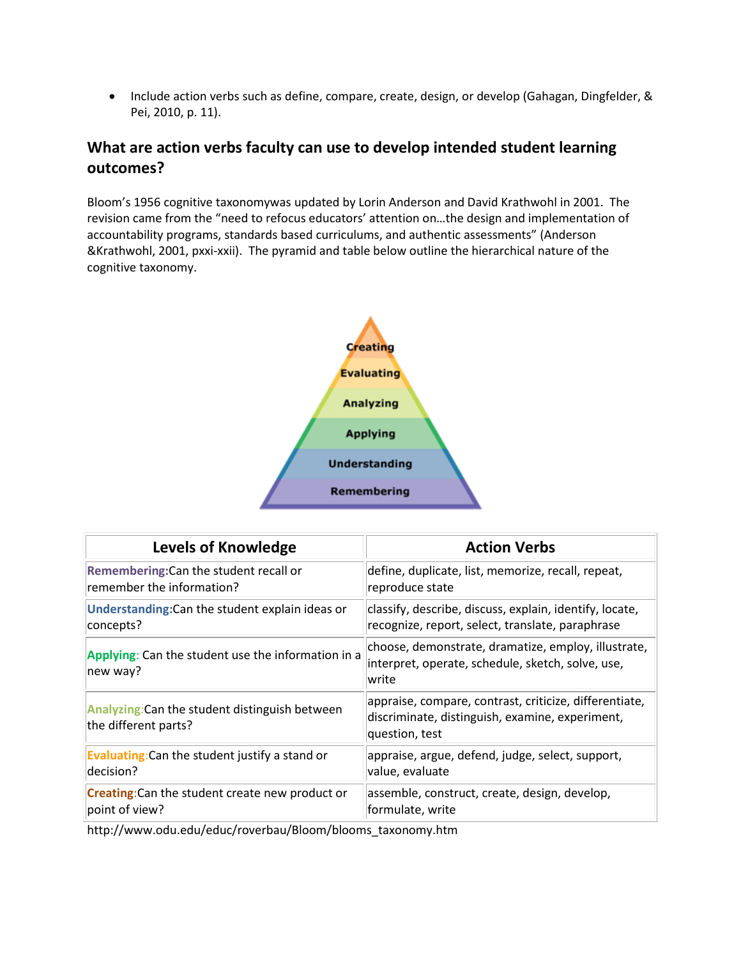• Include action verbs such as define, compare, create, design, or develop (Gahagan, Dingfelder, & Pei, 2010, p. 11).

### **What are action verbs faculty can use to develop intended student learning outcomes?**

Bloom's 1956 cognitive taxonomywas updated by Lorin Anderson and David Krathwohl in 2001. The revision came from the "need to refocus educators' attention on…the design and implementation of accountability programs, standards based curriculums, and authentic assessments" (Anderson &Krathwohl, 2001, pxxi-xxii). The pyramid and table below outline the hierarchical nature of the cognitive taxonomy.



| <b>Levels of Knowledge</b>                                             | <b>Action Verbs</b>                                                                                                         |
|------------------------------------------------------------------------|-----------------------------------------------------------------------------------------------------------------------------|
| Remembering: Can the student recall or                                 | define, duplicate, list, memorize, recall, repeat,                                                                          |
| remember the information?                                              | reproduce state                                                                                                             |
| Understanding: Can the student explain ideas or                        | classify, describe, discuss, explain, identify, locate,                                                                     |
| concepts?                                                              | recognize, report, select, translate, paraphrase                                                                            |
| Applying: Can the student use the information in a<br>new way?         | choose, demonstrate, dramatize, employ, illustrate,<br>interpret, operate, schedule, sketch, solve, use,<br>write           |
| Analyzing: Can the student distinguish between<br>the different parts? | appraise, compare, contrast, criticize, differentiate,<br>discriminate, distinguish, examine, experiment,<br>question, test |
| <b>Evaluating:</b> Can the student justify a stand or                  | appraise, argue, defend, judge, select, support,                                                                            |
| decision?                                                              | value, evaluate                                                                                                             |
| <b>Creating:</b> Can the student create new product or                 | assemble, construct, create, design, develop,                                                                               |
| point of view?                                                         | formulate, write                                                                                                            |

http://www.odu.edu/educ/roverbau/Bloom/blooms\_taxonomy.htm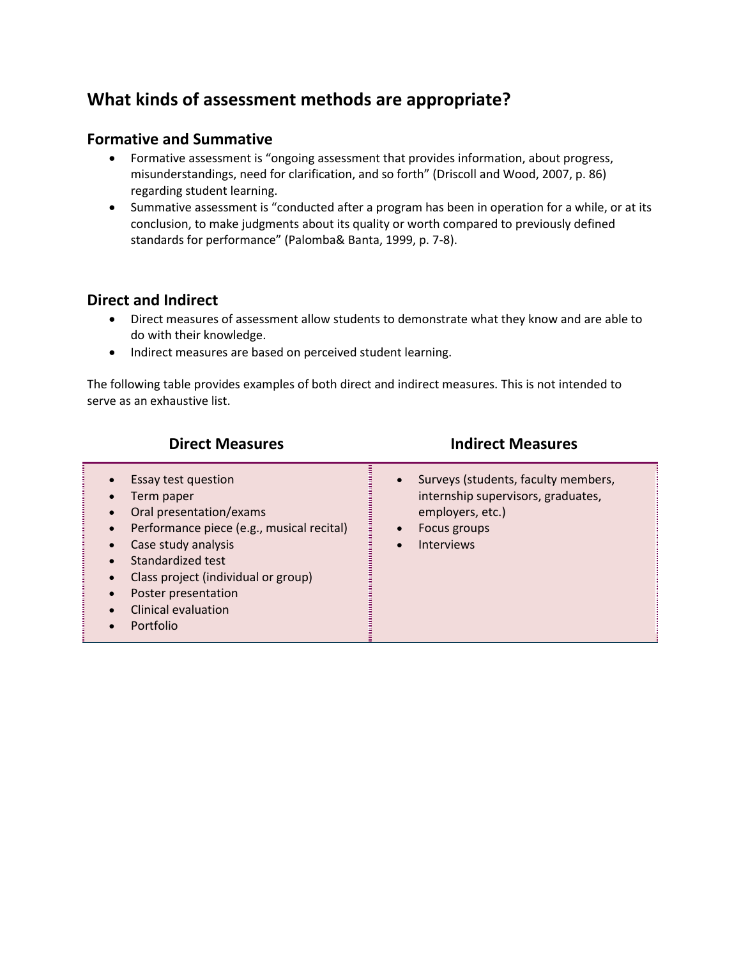# **What kinds of assessment methods are appropriate?**

### **Formative and Summative**

- Formative assessment is "ongoing assessment that provides information, about progress, misunderstandings, need for clarification, and so forth" (Driscoll and Wood, 2007, p. 86) regarding student learning.
- Summative assessment is "conducted after a program has been in operation for a while, or at its conclusion, to make judgments about its quality or worth compared to previously defined standards for performance" (Palomba& Banta, 1999, p. 7-8).

### **Direct and Indirect**

- Direct measures of assessment allow students to demonstrate what they know and are able to do with their knowledge.
- Indirect measures are based on perceived student learning.

The following table provides examples of both direct and indirect measures. This is not intended to serve as an exhaustive list.

| <b>Direct Measures</b>                                                                                                                                                                                                                                                                         | <b>Indirect Measures</b>                                                                                                                        |
|------------------------------------------------------------------------------------------------------------------------------------------------------------------------------------------------------------------------------------------------------------------------------------------------|-------------------------------------------------------------------------------------------------------------------------------------------------|
| Essay test question<br>Term paper<br>$\bullet$<br>Oral presentation/exams<br>Performance piece (e.g., musical recital)<br>$\bullet$<br>Case study analysis<br>Standardized test<br>Class project (individual or group)<br>Poster presentation<br>$\bullet$<br>Clinical evaluation<br>Portfolio | Surveys (students, faculty members,<br>$\bullet$<br>internship supervisors, graduates,<br>employers, etc.)<br>Focus groups<br><b>Interviews</b> |